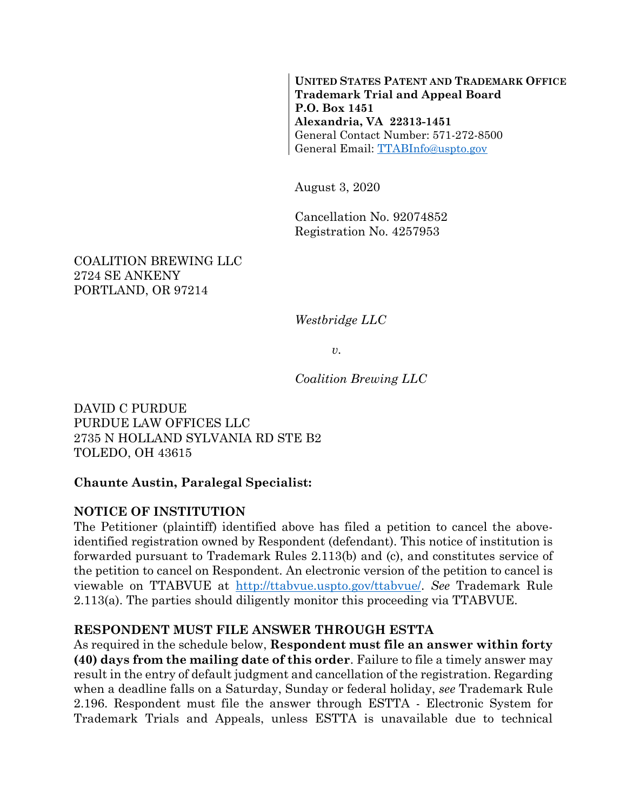**UNITED STATES PATENT AND TRADEMARK OFFICE Trademark Trial and Appeal Board P.O. Box 1451 Alexandria, VA 22313-1451** General Contact Number: 571-272-8500 General Email: [TTABInfo@uspto.gov](mailto:TTABInfo@uspto.gov)

August 3, 2020

Cancellation No. 92074852 Registration No. 4257953

### COALITION BREWING LLC 2724 SE ANKENY PORTLAND, OR 97214

*Westbridge LLC*

*v.*

*Coalition Brewing LLC*

DAVID C PURDUE PURDUE LAW OFFICES LLC 2735 N HOLLAND SYLVANIA RD STE B2 TOLEDO, OH 43615

## **Chaunte Austin, Paralegal Specialist:**

## **NOTICE OF INSTITUTION**

The Petitioner (plaintiff) identified above has filed a petition to cancel the aboveidentified registration owned by Respondent (defendant). This notice of institution is forwarded pursuant to Trademark Rules 2.113(b) and (c), and constitutes service of the petition to cancel on Respondent. An electronic version of the petition to cancel is viewable on TTABVUE at [http://ttabvue.uspto.gov/ttabvue/.](http://ttabvue.uspto.gov/ttabvue/) *See* Trademark Rule 2.113(a). The parties should diligently monitor this proceeding via TTABVUE.

### **RESPONDENT MUST FILE ANSWER THROUGH ESTTA**

As required in the schedule below, **Respondent must file an answer within forty (40) days from the mailing date of this order**. Failure to file a timely answer may result in the entry of default judgment and cancellation of the registration. Regarding when a deadline falls on a Saturday, Sunday or federal holiday, *see* Trademark Rule 2.196. Respondent must file the answer through ESTTA - Electronic System for Trademark Trials and Appeals, unless ESTTA is unavailable due to technical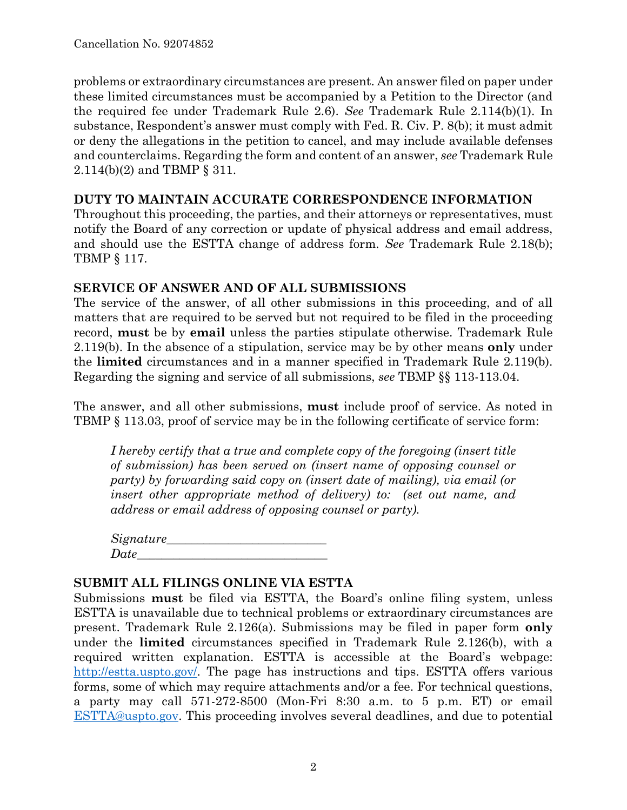problems or extraordinary circumstances are present. An answer filed on paper under these limited circumstances must be accompanied by a Petition to the Director (and the required fee under Trademark Rule 2.6). *See* Trademark Rule 2.114(b)(1). In substance, Respondent's answer must comply with Fed. R. Civ. P. 8(b); it must admit or deny the allegations in the petition to cancel, and may include available defenses and counterclaims. Regarding the form and content of an answer, *see* Trademark Rule 2.114(b)(2) and TBMP § 311.

### **DUTY TO MAINTAIN ACCURATE CORRESPONDENCE INFORMATION**

Throughout this proceeding, the parties, and their attorneys or representatives, must notify the Board of any correction or update of physical address and email address, and should use the ESTTA change of address form. *See* Trademark Rule 2.18(b); TBMP § 117.

## **SERVICE OF ANSWER AND OF ALL SUBMISSIONS**

The service of the answer, of all other submissions in this proceeding, and of all matters that are required to be served but not required to be filed in the proceeding record, **must** be by **email** unless the parties stipulate otherwise. Trademark Rule 2.119(b). In the absence of a stipulation, service may be by other means **only** under the **limited** circumstances and in a manner specified in Trademark Rule 2.119(b). Regarding the signing and service of all submissions, *see* TBMP §§ 113-113.04.

The answer, and all other submissions, **must** include proof of service. As noted in TBMP § 113.03, proof of service may be in the following certificate of service form:

*I hereby certify that a true and complete copy of the foregoing (insert title of submission) has been served on (insert name of opposing counsel or party) by forwarding said copy on (insert date of mailing), via email (or insert other appropriate method of delivery) to: (set out name, and address or email address of opposing counsel or party).*

| Signature_ |  |
|------------|--|
| Date       |  |

### **SUBMIT ALL FILINGS ONLINE VIA ESTTA**

Submissions **must** be filed via ESTTA, the Board's online filing system, unless ESTTA is unavailable due to technical problems or extraordinary circumstances are present. Trademark Rule 2.126(a). Submissions may be filed in paper form **only** under the **limited** circumstances specified in Trademark Rule 2.126(b), with a required written explanation. ESTTA is accessible at the Board's webpage: [http://estta.uspto.gov/.](http://estta.uspto.gov/) The page has instructions and tips. ESTTA offers various forms, some of which may require attachments and/or a fee. For technical questions, a party may call 571-272-8500 (Mon-Fri 8:30 a.m. to 5 p.m. ET) or email [ESTTA@uspto.gov.](mailto:ESTTA@uspto.gov) This proceeding involves several deadlines, and due to potential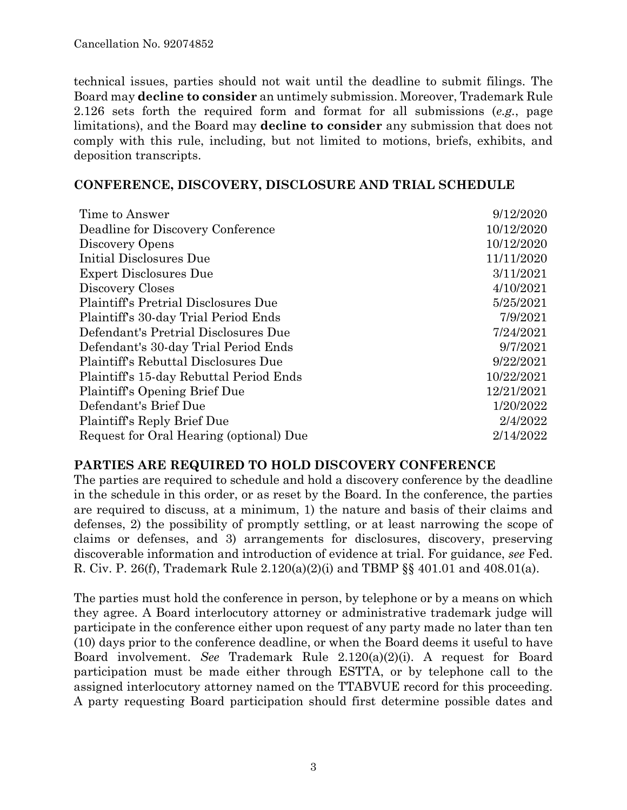technical issues, parties should not wait until the deadline to submit filings. The Board may **decline to consider** an untimely submission. Moreover, Trademark Rule 2.126 sets forth the required form and format for all submissions (*e.g.*, page limitations), and the Board may **decline to consider** any submission that does not comply with this rule, including, but not limited to motions, briefs, exhibits, and deposition transcripts.

### **CONFERENCE, DISCOVERY, DISCLOSURE AND TRIAL SCHEDULE**

| Time to Answer                              | 9/12/2020  |
|---------------------------------------------|------------|
| Deadline for Discovery Conference           | 10/12/2020 |
| Discovery Opens                             | 10/12/2020 |
| Initial Disclosures Due                     | 11/11/2020 |
| <b>Expert Disclosures Due</b>               | 3/11/2021  |
| Discovery Closes                            | 4/10/2021  |
| <b>Plaintiff's Pretrial Disclosures Due</b> | 5/25/2021  |
| Plaintiff's 30-day Trial Period Ends        | 7/9/2021   |
| Defendant's Pretrial Disclosures Due        | 7/24/2021  |
| Defendant's 30-day Trial Period Ends        | 9/7/2021   |
| Plaintiff's Rebuttal Disclosures Due        | 9/22/2021  |
| Plaintiff's 15-day Rebuttal Period Ends     | 10/22/2021 |
| Plaintiff's Opening Brief Due               | 12/21/2021 |
| Defendant's Brief Due                       | 1/20/2022  |
| Plaintiff's Reply Brief Due                 | 2/4/2022   |
| Request for Oral Hearing (optional) Due     | 2/14/2022  |

### **PARTIES ARE REQUIRED TO HOLD DISCOVERY CONFERENCE**

The parties are required to schedule and hold a discovery conference by the deadline in the schedule in this order, or as reset by the Board. In the conference, the parties are required to discuss, at a minimum, 1) the nature and basis of their claims and defenses, 2) the possibility of promptly settling, or at least narrowing the scope of claims or defenses, and 3) arrangements for disclosures, discovery, preserving discoverable information and introduction of evidence at trial. For guidance, *see* Fed. R. Civ. P. 26(f), Trademark Rule 2.120(a)(2)(i) and TBMP §§ 401.01 and 408.01(a).

The parties must hold the conference in person, by telephone or by a means on which they agree. A Board interlocutory attorney or administrative trademark judge will participate in the conference either upon request of any party made no later than ten (10) days prior to the conference deadline, or when the Board deems it useful to have Board involvement. *See* Trademark Rule 2.120(a)(2)(i). A request for Board participation must be made either through ESTTA, or by telephone call to the assigned interlocutory attorney named on the TTABVUE record for this proceeding. A party requesting Board participation should first determine possible dates and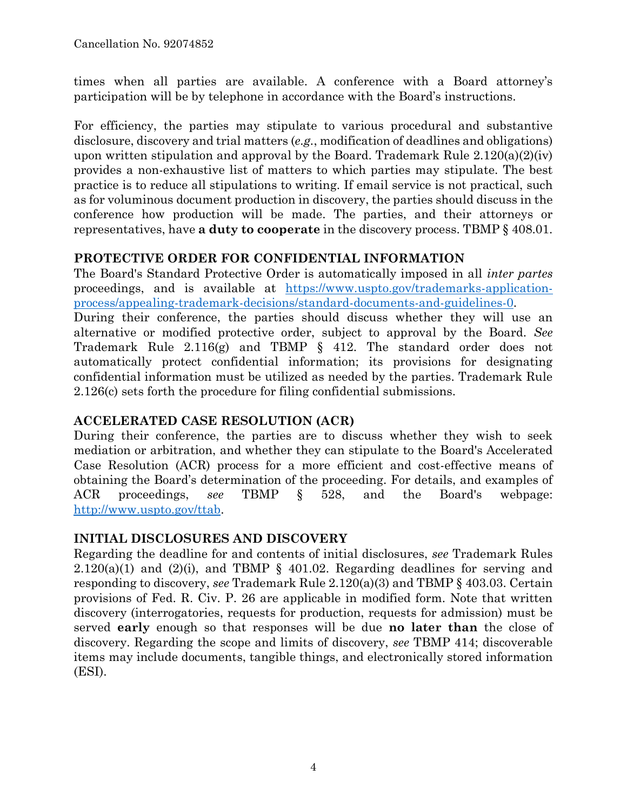times when all parties are available. A conference with a Board attorney's participation will be by telephone in accordance with the Board's instructions.

For efficiency, the parties may stipulate to various procedural and substantive disclosure, discovery and trial matters (*e.g.*, modification of deadlines and obligations) upon written stipulation and approval by the Board. Trademark Rule  $2.120(a)(2)(iv)$ provides a non-exhaustive list of matters to which parties may stipulate. The best practice is to reduce all stipulations to writing. If email service is not practical, such as for voluminous document production in discovery, the parties should discuss in the conference how production will be made. The parties, and their attorneys or representatives, have **a duty to cooperate** in the discovery process. TBMP § 408.01.

## **PROTECTIVE ORDER FOR CONFIDENTIAL INFORMATION**

The Board's Standard Protective Order is automatically imposed in all *inter partes* proceedings, and is available at [https://www.uspto.gov/trademarks-application](https://www.uspto.gov/trademarks-application-process/appealing-trademark-decisions/standard-documents-and-guidelines-0)[process/appealing-trademark-decisions/standard-documents-and-guidelines-0.](https://www.uspto.gov/trademarks-application-process/appealing-trademark-decisions/standard-documents-and-guidelines-0)

During their conference, the parties should discuss whether they will use an alternative or modified protective order, subject to approval by the Board. *See* Trademark Rule 2.116(g) and TBMP § 412. The standard order does not automatically protect confidential information; its provisions for designating confidential information must be utilized as needed by the parties. Trademark Rule 2.126(c) sets forth the procedure for filing confidential submissions.

# **ACCELERATED CASE RESOLUTION (ACR)**

During their conference, the parties are to discuss whether they wish to seek mediation or arbitration, and whether they can stipulate to the Board's Accelerated Case Resolution (ACR) process for a more efficient and cost-effective means of obtaining the Board's determination of the proceeding. For details, and examples of ACR proceedings, *see* TBMP § 528, and the Board's webpage: [http://www.uspto.gov/ttab.](http://www.uspto.gov/ttab)

# **INITIAL DISCLOSURES AND DISCOVERY**

Regarding the deadline for and contents of initial disclosures, *see* Trademark Rules  $2.120(a)(1)$  and  $(2)(i)$ , and TBMP § 401.02. Regarding deadlines for serving and responding to discovery, *see* Trademark Rule 2.120(a)(3) and TBMP § 403.03. Certain provisions of Fed. R. Civ. P. 26 are applicable in modified form. Note that written discovery (interrogatories, requests for production, requests for admission) must be served **early** enough so that responses will be due **no later than** the close of discovery. Regarding the scope and limits of discovery, *see* TBMP 414; discoverable items may include documents, tangible things, and electronically stored information (ESI).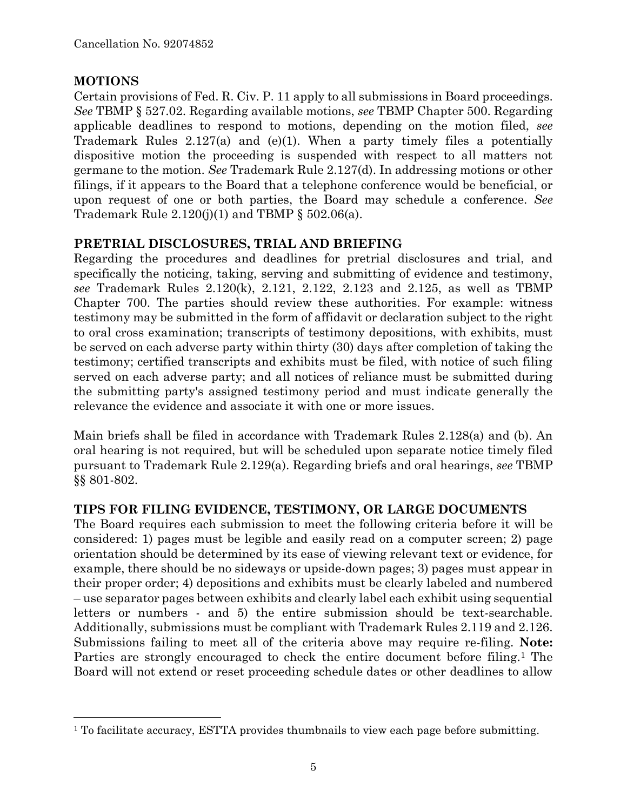## **MOTIONS**

 $\overline{a}$ 

Certain provisions of Fed. R. Civ. P. 11 apply to all submissions in Board proceedings. *See* TBMP § 527.02. Regarding available motions, *see* TBMP Chapter 500. Regarding applicable deadlines to respond to motions, depending on the motion filed, *see* Trademark Rules 2.127(a) and (e)(1). When a party timely files a potentially dispositive motion the proceeding is suspended with respect to all matters not germane to the motion. *See* Trademark Rule 2.127(d). In addressing motions or other filings, if it appears to the Board that a telephone conference would be beneficial, or upon request of one or both parties, the Board may schedule a conference. *See* Trademark Rule  $2.120(j)(1)$  and TBMP §  $502.06(a)$ .

## **PRETRIAL DISCLOSURES, TRIAL AND BRIEFING**

Regarding the procedures and deadlines for pretrial disclosures and trial, and specifically the noticing, taking, serving and submitting of evidence and testimony, *see* Trademark Rules 2.120(k), 2.121, 2.122, 2.123 and 2.125, as well as TBMP Chapter 700. The parties should review these authorities. For example: witness testimony may be submitted in the form of affidavit or declaration subject to the right to oral cross examination; transcripts of testimony depositions, with exhibits, must be served on each adverse party within thirty (30) days after completion of taking the testimony; certified transcripts and exhibits must be filed, with notice of such filing served on each adverse party; and all notices of reliance must be submitted during the submitting party's assigned testimony period and must indicate generally the relevance the evidence and associate it with one or more issues.

Main briefs shall be filed in accordance with Trademark Rules 2.128(a) and (b). An oral hearing is not required, but will be scheduled upon separate notice timely filed pursuant to Trademark Rule 2.129(a). Regarding briefs and oral hearings, *see* TBMP §§ 801-802.

### **TIPS FOR FILING EVIDENCE, TESTIMONY, OR LARGE DOCUMENTS**

The Board requires each submission to meet the following criteria before it will be considered: 1) pages must be legible and easily read on a computer screen; 2) page orientation should be determined by its ease of viewing relevant text or evidence, for example, there should be no sideways or upside-down pages; 3) pages must appear in their proper order; 4) depositions and exhibits must be clearly labeled and numbered – use separator pages between exhibits and clearly label each exhibit using sequential letters or numbers - and 5) the entire submission should be text-searchable. Additionally, submissions must be compliant with Trademark Rules 2.119 and 2.126. Submissions failing to meet all of the criteria above may require re-filing. **Note:** Parties are strongly encouraged to check the entire document before filing.<sup>1</sup> The Board will not extend or reset proceeding schedule dates or other deadlines to allow

<sup>&</sup>lt;sup>1</sup> To facilitate accuracy, ESTTA provides thumbnails to view each page before submitting.